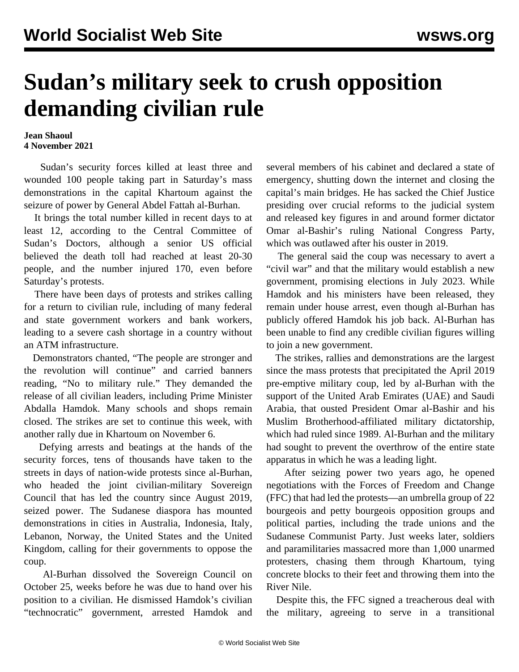## **Sudan's military seek to crush opposition demanding civilian rule**

## **Jean Shaoul 4 November 2021**

 Sudan's security forces killed at least three and wounded 100 people taking part in Saturday's mass demonstrations in the capital Khartoum against the seizure of power by General Abdel Fattah al-Burhan.

 It brings the total number killed in recent days to at least 12, according to the Central Committee of Sudan's Doctors, although a senior US official believed the death toll had reached at least 20-30 people, and the number injured 170, even before Saturday's protests.

 There have been days of protests and strikes calling for a return to civilian rule, including of many federal and state government workers and bank workers, leading to a severe cash shortage in a country without an ATM infrastructure.

 Demonstrators chanted, "The people are stronger and the revolution will continue" and carried banners reading, "No to military rule." They demanded the release of all civilian leaders, including Prime Minister Abdalla Hamdok. Many schools and shops remain closed. The strikes are set to continue this week, with another rally due in Khartoum on November 6.

 Defying arrests and beatings at the hands of the security forces, tens of thousands have taken to the streets in days of nation-wide protests since al-Burhan, who headed the joint civilian-military Sovereign Council that has led the country since August 2019, seized power. The Sudanese diaspora has mounted demonstrations in cities in Australia, Indonesia, Italy, Lebanon, Norway, the United States and the United Kingdom, calling for their governments to oppose the coup.

 Al-Burhan dissolved the Sovereign Council on October 25, weeks before he was due to hand over his position to a civilian. He dismissed Hamdok's civilian "technocratic" government, arrested Hamdok and

several members of his cabinet and declared a state of emergency, shutting down the internet and closing the capital's main bridges. He has sacked the Chief Justice presiding over crucial reforms to the judicial system and released key figures in and around former dictator Omar al-Bashir's ruling National Congress Party, which was outlawed after his ouster in 2019.

 The general said the coup was necessary to avert a "civil war" and that the military would establish a new government, promising elections in July 2023. While Hamdok and his ministers have been released, they remain under house arrest, even though al-Burhan has publicly offered Hamdok his job back. Al-Burhan has been unable to find any credible civilian figures willing to join a new government.

 The strikes, rallies and demonstrations are the largest since the mass protests that precipitated the April 2019 pre-emptive military coup, led by al-Burhan with the support of the United Arab Emirates (UAE) and Saudi Arabia, that ousted President Omar al-Bashir and his Muslim Brotherhood-affiliated military dictatorship, which had ruled since 1989. Al-Burhan and the military had sought to prevent the overthrow of the entire state apparatus in which he was a leading light.

 After seizing power two years ago, he opened negotiations with the Forces of Freedom and Change (FFC) that had led the protests—an umbrella group of 22 bourgeois and petty bourgeois opposition groups and political parties, including the trade unions and the Sudanese Communist Party. Just weeks later, soldiers and paramilitaries massacred more than 1,000 unarmed protesters, chasing them through Khartoum, tying concrete blocks to their feet and throwing them into the River Nile.

 Despite this, the FFC signed a treacherous deal with the military, agreeing to serve in a transitional